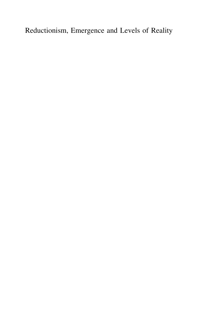Reductionism, Emergence and Levels of Reality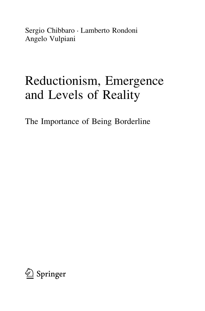Sergio Chibbaro • Lamberto Rondoni Angelo Vulpiani

# Reductionism, Emergence and Levels of Reality

The Importance of Being Borderline

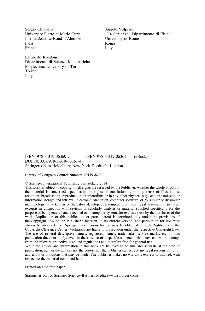Sergio Chibbaro University Pierre et Marie Curie Institut Jean Le Rond d'Alembert Paris France

Lamberto Rondoni Dipartimento di Scienze Matematiche Polytechnic University of Turin Torino Italy

Angelo Vulpiani ''La Sapienza'' Dipartimento di Fisica University of Rome Roma Italy

ISBN 978-3-319-06360-7 ISBN 978-3-319-06361-4 (eBook) DOI 10.1007/978-3-319-06361-4 Springer Cham Heidelberg New York Dordrecht London

Library of Congress Control Number: 2014938209

- Springer International Publishing Switzerland 2014

This work is subject to copyright. All rights are reserved by the Publisher, whether the whole or part of the material is concerned, specifically the rights of translation, reprinting, reuse of illustrations, recitation, broadcasting, reproduction on microfilms or in any other physical way, and transmission or information storage and retrieval, electronic adaptation, computer software, or by similar or dissimilar methodology now known or hereafter developed. Exempted from this legal reservation are brief excerpts in connection with reviews or scholarly analysis or material supplied specifically for the purpose of being entered and executed on a computer system, for exclusive use by the purchaser of the work. Duplication of this publication or parts thereof is permitted only under the provisions of the Copyright Law of the Publisher's location, in its current version, and permission for use must always be obtained from Springer. Permissions for use may be obtained through RightsLink at the Copyright Clearance Center. Violations are liable to prosecution under the respective Copyright Law. The use of general descriptive names, registered names, trademarks, service marks, etc. in this publication does not imply, even in the absence of a specific statement, that such names are exempt from the relevant protective laws and regulations and therefore free for general use.

While the advice and information in this book are believed to be true and accurate at the date of publication, neither the authors nor the editors nor the publisher can accept any legal responsibility for any errors or omissions that may be made. The publisher makes no warranty, express or implied, with respect to the material contained herein.

Printed on acid-free paper

Springer is part of Springer Science+Business Media (www.springer.com)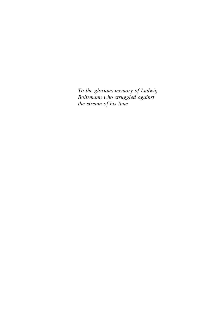To the glorious memory of Ludwig Boltzmann who struggled against the stream of his time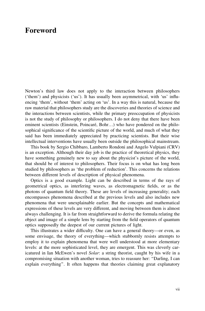#### Foreword

Newton's third law does not apply to the interaction between philosophers ('them') and physicists ('us'). It has usually been asymmetrical, with 'us' influencing 'them', without 'them' acting on 'us'. In a way this is natural, because the raw material that philosophers study are the discoveries and theories of science and the interactions between scientists, while the primary preoccupation of physicists is not the study of philosophy or philosophers. I do not deny that there have been eminent scientists (Einstein, Poincaré, Bohr…) who have pondered on the philosophical significance of the scientific picture of the world, and much of what they said has been immediately appreciated by practicing scientists. But their wise intellectual interventions have usually been outside the philosophical mainstream.

This book by Sergio Chibbaro, Lamberto Rondoni and Angelo Vulpiani (CRV) is an exception. Although their day job is the practice of theoretical physics, they have something genuinely new to say about the physicist's picture of the world, that should be of interest to philosophers. Their focus is on what has long been studied by philosophers as 'the problem of reduction'. This concerns the relations between different levels of description of physical phenomena.

Optics is a good example. Light can be described in terms of the rays of geometrical optics, as interfering waves, as electromagnetic fields, or as the photons of quantum field theory. These are levels of increasing generality; each encompasses phenomena described at the previous levels and also includes new phenomena that were unexplainable earlier. But the concepts and mathematical expressions of these levels are very different, and moving between them is almost always challenging. It is far from straightforward to derive the formula relating the object and image of a simple lens by starting from the field operators of quantum optics supposedly the deepest of our current pictures of light.

This illustrates a wider difficulty. One can have a general theory—or even, as some envisage, the theory of everything—which stubbornly resists attempts to employ it to explain phenomena that were well understood at more elementary levels: at the more sophisticated level, they are emergent. This was cleverly caricatured in Ian McEwen's novel Solar: a string theorist, caught by his wife in a compromising situation with another woman, tries to reassure her: ''Darling, I can explain everything''. It often happens that theories claiming great explanatory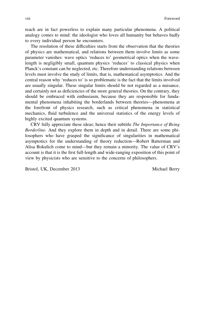reach are in fact powerless to explain many particular phenomena. A political analogy comes to mind: the ideologist who loves all humanity but behaves badly to every individual person he encounters.

The resolution of these difficulties starts from the observation that the theories of physics are mathematical, and relations between them involve limits as some parameter vanishes: wave optics 'reduces to' geometrical optics when the wavelength is negligibly small, quantum physics 'reduces' to classical physics when Planck's constant can be neglected, etc. Therefore understanding relations between levels must involve the study of limits, that is, mathematical asymptotics. And the central reason why 'reduces to' is so problematic is the fact that the limits involved are usually singular. These singular limits should be not regarded as a nuisance, and certainly not as deficiencies of the more general theories. On the contrary, they should be embraced with enthusiasm, because they are responsible for fundamental phenomena inhabiting the borderlands between theories—phenomena at the forefront of physics research, such as critical phenomena in statistical mechanics, fluid turbulence and the universal statistics of the energy levels of highly excited quantum systems.

CRV fully appreciate these ideas; hence their subtitle The Importance of Being Borderline. And they explore them in depth and in detail. There are some philosophers who have grasped the significance of singularities in mathematical asymptotics for the understanding of theory reduction—Robert Batterman and Alisa Bokulich come to mind—but they remain a minority. The value of CRV's account is that it is the first full-length and wide-ranging exposition of this point of view by physicists who are sensitive to the concerns of philosophers.

Bristol, UK, December 2013 Michael Berry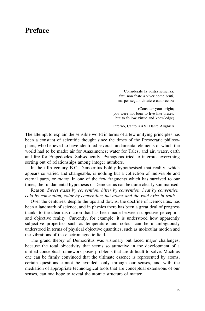### Preface

Considerate la vostra semenza: fatti non foste a viver come bruti, ma per seguir virtute e canoscenza

(Consider your origin; you were not born to live like brutes, but to follow virtue and knowledge)

Inferno, Canto XXVI Dante Alighieri

The attempt to explain the sensible world in terms of a few unifying principles has been a constant of scientific thought since the times of the Presocratic philosophers, who believed to have identified several fundamental elements of which the world had to be made: air for Anaximenes; water for Tales; and air, water, earth and fire for Empedocles. Subsequently, Pythagoras tried to interpret everything sorting out of relationships among integer numbers.

In the fifth century B.C. Democritus boldly hypothesised that reality, which appears so varied and changeable, is nothing but a collection of indivisible and eternal parts, or atoms. In one of the few fragments which has survived to our times, the fundamental hypothesis of Democritus can be quite clearly summarised:

Reason: Sweet exists by convention, bitter by convention, heat by convention, cold by convention, color by convention; but atoms and the void exist in truth.

Over the centuries, despite the ups and downs, the doctrine of Democritus, has been a landmark of science, and in physics there has been a great deal of progress thanks to the clear distinction that has been made between subjective perception and objective reality. Currently, for example, it is understood how apparently subjective properties such as temperature and colour can be unambiguously understood in terms of physical objective quantities, such as molecular motion and the vibrations of the electromagnetic field.

The grand theory of Democritus was visionary but faced major challenges, because the total objectivity that seems so attractive in the development of a unified conceptual framework poses problems that are difficult to solve. Much as one can be firmly convinced that the ultimate essence is represented by atoms, certain questions cannot be avoided: only through our senses, and with the mediation of appropriate technological tools that are conceptual extensions of our senses, can one hope to reveal the atomic structure of matter.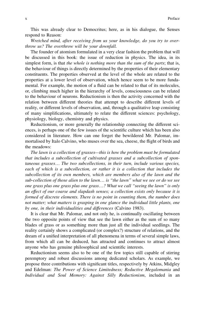This was already clear to Democritus; here, as in his dialogue, the Senses respond to Reason:

Wretched mind, after receiving from us your knowledge, do you try to overthrow us? The overthrow will be your downfall.

The founder of atomism formulated in a very clear fashion the problem that will be discussed in this book: the issue of reduction in physics. The idea, in its simplest form, is that the whole is nothing more than the sum of the parts; that is, the behaviour of things is directly determined by the properties of their elementary constituents. The properties observed at the level of the whole are related to the properties at a lower level of observation, which hence seem to be more fundamental. For example, the motion of a fluid can be related to that of its molecules, or, climbing much higher in the hierarchy of levels, consciousness can be related to the behaviour of neurons. Reductionism is then the activity concerned with the relation between different theories that attempt to describe different levels of reality, or different levels of observation, and, through a qualitative leap consisting of many simplifications, ultimately to relate the different sciences: psychology, physiology, biology, chemistry and physics.

Reductionism, or more generally the relationship connecting the different sciences, is perhaps one of the few issues of the scientific culture which has been also considered in literature. How can one forget the bewildered Mr. Palomar, immortalised by Italo Calvino, who muses over the sea, cheese, the flight of birds and the meadows:

The lawn is a collection of grasses—this is how the problem must be formulated that includes a subcollection of cultivated grasses and a subcollection of spontaneous grasses… The two subcollections, in their turn, include various species, each of which is a subcollection, or rather it is a collection that includes the subcollection of its own members, which are members also of the lawn and the sub-collection of those alien to the lawn… is ''the lawn'' what we see or do we see one grass plus one grass plus one grass…? What we call ''seeing the lawn'' is only an effect of our coarse and slapdash senses; a collection exists only because it is formed of discrete elements. There is no point in counting them, the number does not matter; what matters is grasping in one glance the individual little plants, one by one, in their individualities and differences (Calvino 1983).

It is clear that Mr. Palomar, and not only he, is continually oscillating between the two opposite points of view that see the lawn either as the sum of so many blades of grass or as something more than just all the individual seedlings. The reality certainly shows a complicated (or complex?) structure of relations, and the dream of a unified interpretation of all phenomena in terms of several simple laws, from which all can be deduced, has attracted and continues to attract almost anyone who has genuine philosophical and scientific interests.

Reductionism seems also to be one of the few topics still capable of stirring peremptory and robust discussions among dedicated scholars. As example, we propose three contributions with significant titles, respectively by Atkins, Midgley and Edelman: The Power of Science Limitedness; Reductive Megalomania and Individual and Soul Memory: Against Silly Reductionism, included in an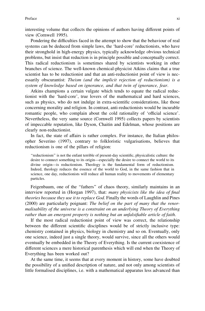interesting volume that collects the opinions of authors having different points of view (Cornwell 1995).

Pondering the difficulties faced in the attempt to show that the behaviour of real systems can be deduced from simple laws, the 'hard-core' reductionists, who have their stronghold in high-energy physics, typically acknowledge obvious technical problems, but insist that reduction is in principle possible and conceptually correct. This radical reductionism is sometimes shared by scientists working in other branches of science. The well-known chemical-physicist Atkins claims that a true scientist has to be reductionist and that an anti-reductionist point of view is necessarily obscurantist: Theism (and the implicit rejection of reductionism) is a system of knowledge based on ignorance, and that twin of ignorance, fear.

Atkins champions a certain vulgate which tends to equate the radical reductionist with the 'hard-core', true lovers of the mathematical and hard sciences, such as physics, who do not indulge in extra-scientific considerations, like those concerning morality and religion. In contrast, anti-reductionists would be incurable romantic people, who complain about the cold rationality of 'official science'. Nevertheless, the very same source (Cornwell 1995) collects papers by scientists of impeccable reputation, like Dyson, Chaitin and Edelman, whose positions are clearly non-reductionist.

In fact, the state of affairs is rather complex. For instance, the Italian philosopher Severino (1997), contrary to folkloristic vulgarisations, believes that reductionism is one of the pillars of religion:

''reductionism'' is not the enfant terrible of present-day scientific, physicalistic culture: the desire to connect something to its origin—especially the desire to connect the world to its divine origin—is reductionism. Theology is the fundamental form of reductionism. Indeed, theology reduces the essence of the world to God, in the same fashion that in science, one day, reductionists will reduce all human reality to movements of elementary particles.

Feigenbaum, one of the "fathers" of chaos theory, similarly maintains in an interview reported in (Horgan 1997), that: many physicists like the idea of final theories because they use it to replace God. Finally the words of Laughlin and Pines (2000) are particularly poignant: The belief on the part of many that the renormalisability of the universe is a constraint on an underlying Theory of Everything rather than an emergent property is nothing but an unfalsifiable article of faith.

If the most radical reductionist point of view was correct, the relationship between the different scientific disciplines would be of strictly inclusive type: chemistry contained in physics, biology in chemistry and so on. Eventually, only one science, indeed just a single theory, would survive, since all the others would eventually be embedded in the Theory of Everything. Is the current coexistence of different sciences a mere historical parenthesis which will end when the Theory of Everything has been worked out?

At the same time, it seems that at every moment in history, some have doubted the possibility of a unified description of nature, and not only among scientists of little formalised disciplines, i.e. with a mathematical apparatus less advanced than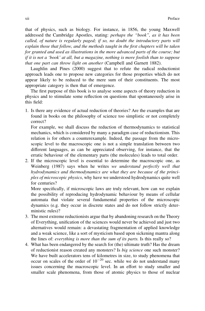that of physics, such as biology. For instance, in 1856, the young Maxwell addressed the Cambridge Apostles, stating: perhaps the "book", as it has been called, of nature is regularly paged; if so, no doubt the introductory parts will explain those that follow, and the methods taught in the first chapters will be taken for granted and used as illustrations in the more advanced parts of the course; but if it is not a 'book' at all, but a magazine, nothing is more foolish than to suppose that one part can throw light on another (Campbell and Garnett 1882).

Laughlin and Pines (2000) suggest that to refute the radical reductionist approach leads one to propose new categories for those properties which do not appear likely to be reduced to the mere sum of their constituents. The most appropriate category is then that of emergence.

The first purpose of this book is to analyse some aspects of theory reduction in physics and to stimulate some reflection on questions that spontaneously arise in this field:

1. Is there any evidence of actual reduction of theories? Are the examples that are found in books on the philosophy of science too simplistic or not completely correct?

For example, we shall discuss the reduction of thermodynamics to statistical mechanics, which is considered by many a paradigm case of reductionism. This relation is for others a counterexample. Indeed, the passage from the microscopic level to the macroscopic one is not a simple translation between two different languages, as can be appreciated observing, for instance, that the erratic behaviour of the elementary parts (the molecules) leads to total order.

2. If the microscopic level is essential to determine the macroscopic one, as Weinberg (1987) says when he writes we understand perfectly well that hydrodynamics and thermodynamics are what they are because of the principles of microscopic physics, why have we understood hydrodynamics quite well for centuries?

More specifically, if microscopic laws are truly relevant, how can we explain the possibility of reproducing hydrodynamic behaviour by means of cellular automata that violate several fundamental properties of the microscopic dynamics (e.g. they occur in discrete states and do not follow strictly deterministic rules)?

- 3. The most extreme reductionists argue that by abandoning research on the Theory of Everything, unification of the sciences would never be achieved and just two alternatives would remain: a devastating fragmentation of applied knowledge and a weak science, like a sort of mysticism based upon sickening mantra along the lines of: everything is more than the sum of its parts. Is this really so?
- 4. What has been endangered by the search for (the) ultimate truth? Has the dream of reductionist reason created any monsters? Is big science one such monster? We have built accelerators tens of kilometres in size, to study phenomena that occur on scales of the order of  $10^{-20}$  sec. while we do not understand many issues concerning the macroscopic level. In an effort to study smaller and smaller scale phenomena, from those of atomic physics to those of nuclear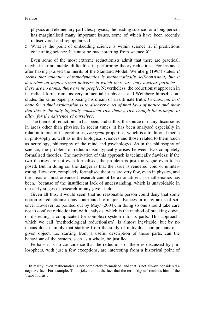physics and elementary particles, physics, the leading science for a long period, has marginalised many important issues, some of which have been recently rediscovered and repopularised.

5. What is the point of embedding science  $Y$  within science  $X$ , if predictions concerning science Y cannot be made starting from science X?

Even some of the most extreme reductionists admit that there are practical, maybe insurmountable, difficulties in performing theory reductions. For instance, after having praised the merits of the Standard Model, Weinberg (1995) states: It seems that quantum chromodynamics is mathematically self-consistent, but it describes an impoverished universe in which there are only nuclear particles there are no atoms, there are no people. Nevertheless, the reductionist approach in its radical forms remains very influential in physics, and Weinberg himself concludes the same paper proposing his dream of an ultimate truth: Perhaps our best hope for a final explanation is to discover a set of final laws of nature and show that this is the only logically consistent rich theory, rich enough for example to allow for the existence of ourselves.

The theme of reductionism has been, and still is, the source of many discussions in areas other than physics. In recent times, it has been analysed especially in relation to one of its corollaries, emergent properties, which is a traditional theme in philosophy as well as in the biological sciences and those related to them (such as neurology, philosophy of the mind and psychology). As in the philosophy of science, the problem of reductionism typically arises between two completely formalised theories. The motivation of this approach is technically flawless: if the two theories are not even formalised, the problem is just too vague even to be posed. But in doing so, the danger is that the issue is rendered void or uninteresting. However, completely formalised theories are very few, even in physics, and the areas of most advanced research cannot be axiomatised, as mathematics has been, $<sup>1</sup>$  because of the insufficient lack of understanding, which is unavoidable in</sup> the early stages of research in any given field.

Given all this, it would seem that no reasonable person could deny that some notion of reductionism has contributed to major advances in many areas of science. However, as pointed out by Mayr (2004), in doing so one should take care not to confuse reductionism with analysis, which is the method of breaking down, of dissecting a complicated (or complex) system into its parts. This approach, which we call 'methodological reductionism', is almost inevitable, but by no means does it imply that starting from the study of individual components of a given object, i.e. starting from a useful description of those parts, can the behaviour of the system, seen as a whole, be justified.

Perhaps it is no coincidence that the reductions of theories discussed by philosophers, with just a few exceptions, are interesting from a historical point of

<sup>&</sup>lt;sup>1</sup> In reality, even mathematics is not completely formalised, and that is not always considered a negative fact. For example, Thom joked about the fact that the term 'rigour' reminds him of the 'rigor mortis'.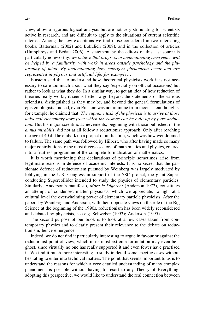view, allow a rigorous logical analysis but are not very stimulating for scientists active in research, and are difficult to apply to the situations of current scientific interest. Among the few exceptions we find those considered in two interesting books, Batterman (2002) and Bokulich (2008), and in the collection of articles (Humphreys and Bedau 2006). A statement by the editors of this last source is particularly noteworthy: we believe that progress in understanding emergence will be helped by a familiarity with work in areas outside psychology and the philosophy of mind. By understanding how emergent phenomena occur and are represented in physics and artificial life, for example…

Einstein said that to understand how theoretical physicists work it is not necessary to care too much about what they say (especially on official occasions) but rather to look at what they do. In a similar way, to get an idea of how reduction of theories really works, it seems better to go beyond the statements of the various scientists, distinguished as they may be, and beyond the general formulations of epistemologists. Indeed, even Einstein was not immune from inconsistent thoughts, for example, he claimed that: The supreme task of the physicist is to arrive at those universal elementary laws from which the cosmos can be built up by pure deduction. But his major scientific achievements, beginning with those published in the annus mirabilis, did not at all follow a reductionist approach. Only after reaching the age of 40 did he embark on a project of unification, which was however doomed to failure. The same path was followed by Hilbert, who after having made so many major contributions to the most diverse sectors of mathematics and physics, entered into a fruitless programme of the complete formalisation of mathematics.

It is worth mentioning that declarations of principle sometimes arise from legitimate reasons in defence of academic interests. It is no secret that the passionate defence of reductionism pursued by Weinberg was largely motivated by lobbying in the U.S. Congress in support of the SSC project, the giant Superconducting Supercollider intended to study the physics of elementary particles. Similarly, Anderson's manifesto, More is Different (Anderson 1972), constitutes an attempt of condensed matter physicists, which we appreciate, to fight at a cultural level the overwhelming power of elementary particle physicists. After the papers by Weinberg and Anderson, with their opposite views on the role of the Big Science at the beginning of the 1990s, reductionism has been widely reconsidered and debated by physicists, see e.g. Schweber (1993); Anderson (1995).

The second purpose of our book is to look at a few cases taken from contemporary physics and to clearly present their relevance to the debate on reductionism, hence emergence.

Indeed, we do not find it particularly interesting to argue in favour or against the reductionist point of view, which in its most extreme formulation may even be a ghost, since virtually no one has really supported it and even fewer have practised it. We find it much more interesting to study in detail some specific cases without hesitating to enter into technical matters. The point that seems important to us is to understand the reasons for which a very detailed understanding of many complex phenomena is possible without having to resort to any Theory of Everything: adopting this perspective, we would like to understand the real connection between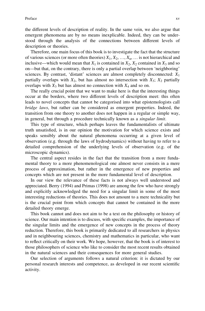the different levels of description of reality. In the same vein, we also argue that emergent phenomena are by no means inexplicable. Indeed, they can be understood through the analysis of the connections between different levels of description or theories.

Therefore, one main focus of this book is to investigate the fact that the structure of various sciences (or more often theories)  $X_1, X_2, ..., X_n, ...$  is not hierarchical and inclusive—which would mean that  $X_1$  is contained in  $X_2$ ,  $X_2$  contained in  $X_3$  and so on—but that, on the contrary, there is only a partial overlap between 'neighboring' sciences. By contrast, 'distant' sciences are almost completely disconnected:  $X_1$ partially overlaps with  $X_2$ , but has almost no intersection with  $X_3$ ;  $X_2$  partially overlaps with  $X_3$  but has almost no connection with  $X_4$  and so on.

The really crucial point that we want to make here is that the interesting things occur at the borders, where two different levels of description meet: this often leads to novel concepts that cannot be categorised into what epistemologists call bridge laws, but rather can be considered as emergent properties. Indeed, the transition from one theory to another does not happen in a regular or simple way, in general, but through a procedure technically known as a singular limit.

This type of structure, which perhaps leaves the fundamentalists of ultimate truth unsatisfied, is in our opinion the motivation for which science exists and speaks sensibly about the natural phenomena occurring at a given level of observation (e.g. through the laws of hydrodynamics) without having to refer to a detailed comprehension of the underlying levels of observation (e.g. of the microscopic dynamics).

The central aspect resides in the fact that the transition from a more fundamental theory to a more phenomenological one almost never consists in a mere process of approximation, but rather in the emergence of new properties and concepts which are not present in the more fundamental level of description.

In our view the relevance of these facts is not always well understood and appreciated. Berry (1994) and Primas (1998) are among the few who have strongly and explicitly acknowledged the need for a singular limit in some of the most interesting reductions of theories. This does not amount to a mere technicality but is the crucial point from which concepts that cannot be contained in the more detailed theory emerge.

This book cannot and does not aim to be a text on the philosophy or history of science. Our main intention is to discuss, with specific examples, the importance of the singular limits and the emergence of new concepts in the process of theory reduction. Therefore, this book is primarily dedicated to all researchers in physics and in neighbouring sciences, chemistry and mathematics in particular, who want to reflect critically on their work. We hope, however, that the book is of interest to those philosophers of science who like to consider the most recent results obtained in the natural sciences and their consequences for more general studies.

Our selection of arguments follows a natural criterion: it is dictated by our personal research interests and competence, as developed in our recent scientific activity.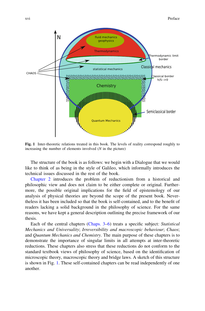

Fig. 1 Inter-theoretic relations treated in this book. The levels of reality correspond roughly to increasing the number of elements involved  $(N$  in the picture)

The structure of the book is as follows: we begin with a Dialogue that we would like to think of as being in the style of Galileo, which informally introduces the technical issues discussed in the rest of the book.

[Chapter 2](http://dx.doi.org/10.1007/978-3-319-06361-4_2) introduces the problem of reductionism from a historical and philosophic view and does not claim to be either complete or original. Furthermore, the possible original implications for the field of epistemology of our analysis of physical theories are beyond the scope of the present book. Nevertheless it has been included so that the book is self-contained, and to the benefit of readers lacking a solid background in the philosophy of science. For the same reasons, we have kept a general description outlining the precise framework of our thesis.

Each of the central chapters [\(Chaps. 3](http://dx.doi.org/10.1007/978-3-319-06361-4_3)[–6](http://dx.doi.org/10.1007/978-3-319-06361-4_6)) treats a specific subject: Statistical Mechanics and Universality; Irreversibility and macroscopic behaviour; Chaos; and *Quantum Mechanics and Chemistry*. The main purpose of these chapters is to demonstrate the importance of singular limits in all attempts at inter-theoretic reductions. These chapters also stress that these reductions do not conform to the standard textbook views of philosophy of science, based on the identification of microscopic theory, macroscopic theory and bridge laws. A sketch of this structure is shown in Fig. 1. These self-contained chapters can be read independently of one another.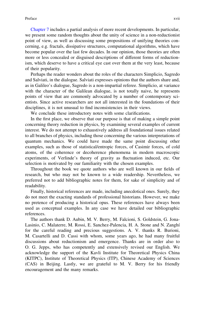[Chapter 7](http://dx.doi.org/10.1007/978-3-319-06361-4_7) includes a partial analysis of more recent developments. In particular, we present some random thoughts about the unity of science in a non-reductionist point of view, as well as discussing some propositions of unifying theories concerning, e.g. fractals, dissipative structures, computational algorithms, which have become popular over the last few decades. In our opinion, those theories are often more or less concealed or disguised descriptions of different forms of reductionism, which deserve to have a critical eye cast over them at the very least, because of their popularity.

Perhaps the reader wonders about the roles of the characters Simplicio, Sagredo and Salviati, in the dialogue. Salviati expresses opinions that the authors share and, as in Galileo's dialogue, Sagredo is a non-impartial referee. Simplicio, at variance with the character of the Galilean dialogue, is not totally naive, he represents points of view that are commonly advocated by a number of contemporary scientists. Since active researchers are not all interested in the foundations of their disciplines, it is not unusual to find inconsistencies in their views.

We conclude these introductory notes with some clarifications.

In the first place, we observe that our purpose is that of making a simple point concerning theory reduction in physics, by examining several examples of current interest. We do not attempt to exhaustively address all foundational issues related to all branches of physics, including those concerning the various interpretations of quantum mechanics. We could have made the same point discussing other examples, such as those of statistical/entropic forces, of Casimir forces, of cold atoms, of the coherence or decoherence phenomena in modern macroscopic experiments, of Verlinde's theory of gravity as fluctuation induced, etc. Our selection is motivated by our familiarity with the chosen examples.

Throughout the book we quote authors who are well known in our fields of research, but who may not be known to a wide readership. Nevertheless, we preferred not to add bibliographic notes for them, for sake of simplicity and of readability.

Finally, historical references are made, including anecdotical ones. Surely, they do not meet the exacting standards of professional historians. However, we make no pretence of producing a historical opus. These references have always been used as conceptual examples. In any case we have detailed our bibliographic references.

The authors thank D. Aubin, M. V. Berry, M. Falcioni, S. Goldstein, G. Jona-Lasinio, C. Malaterre, M. Rossi, E. Sanchez-Palencia, H. A. Stone and N. Zanghí for the careful reading and precious suggestions. A. V. thanks R. Burioni, M. Casartelli and D. Cassi with whom, some years ago, he had many fruitful discussions about reductionism and emergence. Thanks are in order also to O. G. Jepps, who has competently and extensively revised our English. We acknowledge the support of the Kavli Institute for Theoretical Physics China (KITPC), Institute of Theoretical Physics (ITP), Chinese Academy of Sciences (CAS) in Beijing. Lastly, we are grateful to M. V. Berry for his friendly encouragement and the many remarks.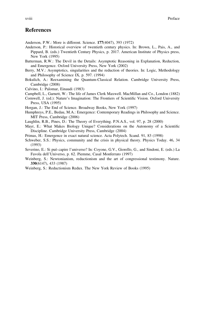#### References

- Anderson, P.W.: More is different. Science. 177(4047), 393 (1972)
- Anderson, P.: Historical overview of twentieth century physics. In: Brown, L., Pais, A., and Pippard, B. (eds.) Twentieth Century Physics, p. 2017. American Institute of Physics press, New York (1995)
- Batterman, R.W.: The Devil in the Details: Asymptotic Reasoning in Explanation, Reduction, and Emergence. Oxford University Press, New York (2002)
- Berry, M.V.: Asymptotics, singularities and the reduction of theories. In: Logic, Methodology and Philosophy of Science IX, p. 597. (1994)
- Bokulich, A.: Reexamining the Quantum-Classical Relation. Cambridge University Press, Cambridge (2008)
- Calvino, I.: Palomar, Einaudi (1983)
- Campbell, L., Garnett, W.: The life of James Clerk Maxwell. MacMillan and Co., London (1882)
- Cornwell, J. (ed.): Nature's Imagination: The Frontiers of Scientific Vision. Oxford University Press, USA (1995)
- Horgan, J.: The End of Science. Broadway Books, New York (1997)
- Humphreys, P.E., Bedau, M.A.: Emergence: Contemporary Readings in Philosophy and Science. MIT Press, Cambridge (2006)
- Laughlin, R.B., Pines, D.: The Theory of Everything. P.N.A.S., vol. 97, p. 28 (2000)
- Mayr, E.: What Makes Biology Unique? Considerations on the Autonomy of a Scientific Discipline. Cambridge University Press, Cambridge (2004)
- Primas, H.: Emergence in exact natural science. Acta Polytech. Scand. 91, 83 (1998)
- Schweber, S.S.: Physics, community and the crisis in physical theory. Physics Today. 46, 34 (1993)
- Severino, E.: Si può capire l'universo? In: Coyone, G.V., Giorello, G., and Sindoni, E. (eds.) La Favola dell'Universo, p. 62. Piemme, Casal Monferrato (1997)
- Weinberg, S.: Newtonianism, reductionism and the art of congressional testimony. Nature. 330(6147), 433 (1987)
- Weinberg, S.: Reductionism Redux. The New York Review of Books (1995)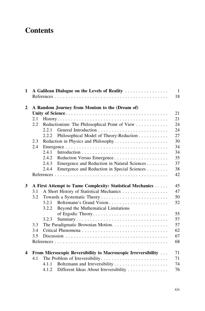## **Contents**

| A Random Journey from Monism to the (Dream of)            |                                                               |  |  |  |
|-----------------------------------------------------------|---------------------------------------------------------------|--|--|--|
|                                                           |                                                               |  |  |  |
| 2.1                                                       |                                                               |  |  |  |
| 2.2                                                       | Reductionism: The Philosophical Point of View                 |  |  |  |
|                                                           | 2.2.1                                                         |  |  |  |
|                                                           | Philosophical Model of Theory-Reduction<br>2.2.2              |  |  |  |
| 2.3                                                       | Reduction in Physics and Philosophy                           |  |  |  |
| 2.4                                                       |                                                               |  |  |  |
|                                                           | 2.4.1                                                         |  |  |  |
|                                                           | Reduction Versus Emergence<br>2.4.2                           |  |  |  |
|                                                           | Emergence and Reduction in Natural Sciences<br>2.4.3          |  |  |  |
|                                                           | Emergence and Reduction in Special Sciences<br>2.4.4          |  |  |  |
|                                                           |                                                               |  |  |  |
| A First Attempt to Tame Complexity: Statistical Mechanics |                                                               |  |  |  |
| 3.1                                                       | A Short History of Statistical Mechanics                      |  |  |  |
| 3.2                                                       | Towards a Systematic Theory                                   |  |  |  |
|                                                           | Boltzmann's Grand Vision<br>3.2.1                             |  |  |  |
|                                                           | 3.2.2<br>Beyond the Mathematical Limitations                  |  |  |  |
|                                                           | of Ergodic Theory                                             |  |  |  |
|                                                           | 3.2.3                                                         |  |  |  |
|                                                           |                                                               |  |  |  |
| 3.3                                                       |                                                               |  |  |  |
| 3.4                                                       |                                                               |  |  |  |
| 3.5                                                       |                                                               |  |  |  |
|                                                           |                                                               |  |  |  |
|                                                           | From Microscopic Reversibility to Macroscopic Irreversibility |  |  |  |
| 4.1                                                       |                                                               |  |  |  |
|                                                           | The Problem of Irreversibility<br>4.1.1                       |  |  |  |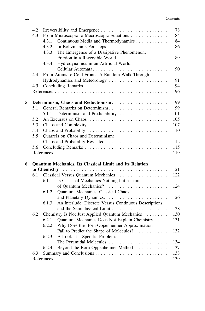|   | 4.2                                                     |       |                                                       |     |  |  |  |  |  |
|---|---------------------------------------------------------|-------|-------------------------------------------------------|-----|--|--|--|--|--|
|   | 4.3                                                     |       | From Microscopic to Macroscopic Equations             | 84  |  |  |  |  |  |
|   |                                                         | 4.3.1 | Continuous Media and Thermodynamics                   | 84  |  |  |  |  |  |
|   |                                                         | 4.3.2 | In Boltzmann's Footsteps                              | 86  |  |  |  |  |  |
|   |                                                         | 4.3.3 | The Emergence of a Dissipative Phenomenon:            |     |  |  |  |  |  |
|   |                                                         |       |                                                       | 89  |  |  |  |  |  |
|   |                                                         | 4.3.4 | Hydrodynamics in an Artificial World:                 |     |  |  |  |  |  |
|   |                                                         |       |                                                       | 90  |  |  |  |  |  |
|   | 4.4                                                     |       | From Atoms to Cold Fronts: A Random Walk Through      |     |  |  |  |  |  |
|   |                                                         |       | Hydrodynamics and Meteorology                         | 91  |  |  |  |  |  |
|   | 4.5                                                     |       |                                                       | 94  |  |  |  |  |  |
|   |                                                         |       |                                                       | 96  |  |  |  |  |  |
| 5 | 99<br>Determinism, Chaos and Reductionism               |       |                                                       |     |  |  |  |  |  |
|   | 5.1                                                     |       |                                                       | 99  |  |  |  |  |  |
|   |                                                         | 5.1.1 | Determinism and Predictability                        | 101 |  |  |  |  |  |
|   | 5.2                                                     |       | An Excursus on Chaos                                  | 105 |  |  |  |  |  |
|   | 5.3                                                     |       | Chaos and Complexity                                  | 107 |  |  |  |  |  |
|   | 5.4                                                     |       | Chaos and Probability                                 | 110 |  |  |  |  |  |
|   | 5.5                                                     |       | Quarrels on Chaos and Determinism:                    |     |  |  |  |  |  |
|   |                                                         |       | Chaos and Probability Revisited                       | 112 |  |  |  |  |  |
|   | 5.6                                                     |       |                                                       | 115 |  |  |  |  |  |
|   |                                                         |       |                                                       | 119 |  |  |  |  |  |
|   |                                                         |       |                                                       |     |  |  |  |  |  |
| 6 | Quantum Mechanics, Its Classical Limit and Its Relation |       |                                                       |     |  |  |  |  |  |
|   |                                                         |       |                                                       | 121 |  |  |  |  |  |
|   | 6.1                                                     |       | Classical Versus Quantum Mechanics                    | 122 |  |  |  |  |  |
|   |                                                         | 6.1.1 | Is Classical Mechanics Nothing but a Limit            |     |  |  |  |  |  |
|   |                                                         |       | of Quantum Mechanics?                                 | 124 |  |  |  |  |  |
|   |                                                         | 6.1.2 | Quantum Mechanics, Classical Chaos                    |     |  |  |  |  |  |
|   |                                                         |       |                                                       | 126 |  |  |  |  |  |
|   |                                                         | 6.1.3 | An Interlude: Discrete Versus Continuous Descriptions |     |  |  |  |  |  |
|   |                                                         |       |                                                       | 128 |  |  |  |  |  |
|   | 6.2                                                     |       | Chemistry Is Not Just Applied Quantum Mechanics       | 130 |  |  |  |  |  |
|   |                                                         | 6.2.1 | Quantum Mechanics Does Not Explain Chemistry          | 131 |  |  |  |  |  |
|   |                                                         | 6.2.2 | Why Does the Born-Oppenheimer Approximation           |     |  |  |  |  |  |
|   |                                                         |       | Fail to Predict the Shape of Molecules?               | 132 |  |  |  |  |  |
|   |                                                         | 6.2.3 | A Look at a Specific Problem:                         |     |  |  |  |  |  |
|   |                                                         |       |                                                       | 134 |  |  |  |  |  |
|   |                                                         | 6.2.4 | Beyond the Born-Oppenheimer Method                    | 137 |  |  |  |  |  |
|   | 6.3                                                     |       |                                                       | 138 |  |  |  |  |  |
|   |                                                         | 139   |                                                       |     |  |  |  |  |  |
|   |                                                         |       |                                                       |     |  |  |  |  |  |